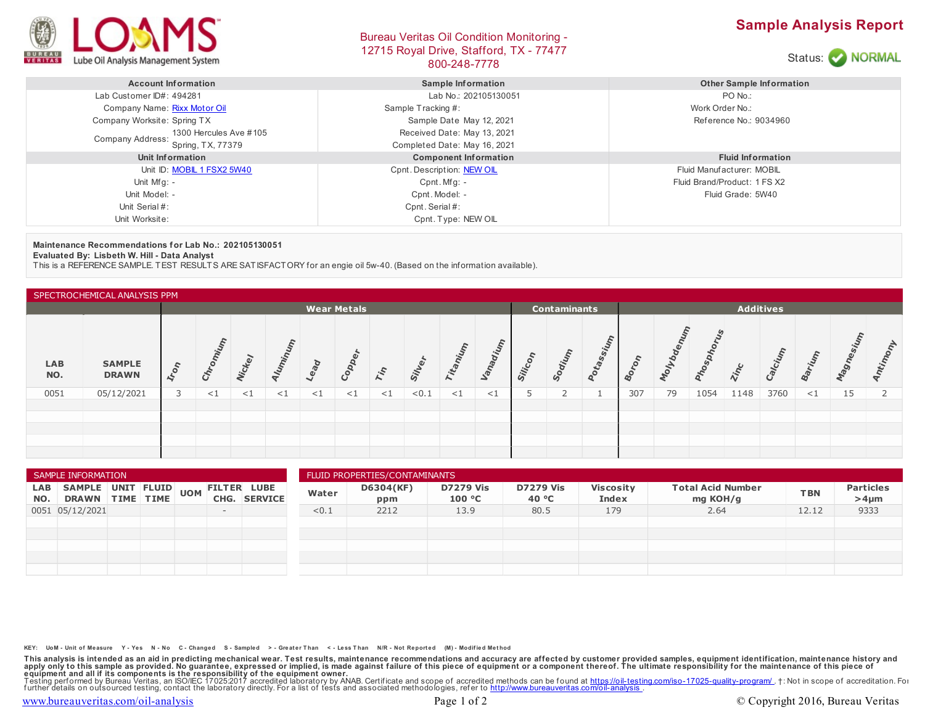

## Bureau Veritas Oil Condition Monitoring - 12715 Royal Drive, Stafford, TX - 77477 BOO-248-7778<br>800-248-7778





| <b>Account Information</b>                   | <b>Sample Information</b>    | <b>Other Sample Information</b> |  |  |  |
|----------------------------------------------|------------------------------|---------------------------------|--|--|--|
| Lab Customer ID#: 494281                     | Lab No.: 202105130051        | PO No.:                         |  |  |  |
| Company Name: Rixx Motor Oil                 | Sample Tracking #:           | Work Order No.:                 |  |  |  |
| Company Worksite: Spring TX                  | Sample Date May 12, 2021     | Reference No.: 9034960          |  |  |  |
| 1300 Hercules Ave #105                       | Received Date: May 13, 2021  |                                 |  |  |  |
| <b>Company Address:</b><br>Spring, TX, 77379 | Completed Date: May 16, 2021 |                                 |  |  |  |
| Unit Information                             | <b>Component Information</b> | <b>Fluid Information</b>        |  |  |  |
| Unit ID: MOBIL 1 FSX2 5W40                   | Cpnt. Description: NEW OIL   | Fluid Manufacturer: MOBIL       |  |  |  |
| Unit Mfg: -                                  | $C$ pnt. Mfg: -              | Fluid Brand/Product: 1 FS X2    |  |  |  |
| Unit Model: -                                | Cpnt. Model: -               | Fluid Grade: 5W40               |  |  |  |
| Unit Serial #:                               | Cpnt. Serial #:              |                                 |  |  |  |
| Unit Worksite:                               | Cpnt. Type: NEW OIL          |                                 |  |  |  |

**Maintenance Recommendations for Lab No.: 202105130051**

**Evaluated By: Lisbeth W. Hill - Data Analyst**

This is a REFERENCE SAMPLE. TEST RESULTS ARE SATISFACTORY for an engie oil 5w-40. (Based on the information available).

| SPECTROCHEMICAL ANALYSIS PPM |                               |                    |        |               |       |          |       |                 |                                         |        |          |         |                           |       |     |      |               |             |       |        |                  |       |
|------------------------------|-------------------------------|--------------------|--------|---------------|-------|----------|-------|-----------------|-----------------------------------------|--------|----------|---------|---------------------------|-------|-----|------|---------------|-------------|-------|--------|------------------|-------|
|                              |                               | <b>Wear Metals</b> |        |               |       |          |       |                 | <b>Additives</b><br><b>Contaminants</b> |        |          |         |                           |       |     |      |               |             |       |        |                  |       |
| <b>LAB</b><br>NO.            | <b>SAMPLE</b><br><b>DRAWN</b> | $k_{o_{n}}$        |        | <b>Vickey</b> | Iumin | Lead     | Copp  | r <sub>in</sub> | Sil                                     | Titani | Vanadium | Silicon | <b>Junip<sub>co</sub></b> | Dtass |     | ollo | <b>Mospit</b> | <b>Zinc</b> | alciu | arium  | ξ<br><b>SOLU</b> | Antin |
| 0051                         | 05/12/2021                    |                    | ${<}1$ | ${<}1$        | $<$ 1 | $\leq$ 1 | $<$ 1 | $\leq$ 1        | < 0.1                                   | $<$ 1  | $\leq$ 1 |         |                           |       | 307 | 79   | 1054          | 1148        | 3760  | ${<}1$ | 15               |       |
|                              |                               |                    |        |               |       |          |       |                 |                                         |        |          |         |                           |       |     |      |               |             |       |        |                  |       |
|                              |                               |                    |        |               |       |          |       |                 |                                         |        |          |         |                           |       |     |      |               |             |       |        |                  |       |
|                              |                               |                    |        |               |       |          |       |                 |                                         |        |          |         |                           |       |     |      |               |             |       |        |                  |       |
|                              |                               |                    |        |               |       |          |       |                 |                                         |        |          |         |                           |       |     |      |               |             |       |        |                  |       |

| SAMPLE INFORMATION |                                      |  |  |            |      |                                      | FLUID PROPERTIES/CONTAMINANTS |                  |                            |                           |                           |                                      |            |                                |  |  |
|--------------------|--------------------------------------|--|--|------------|------|--------------------------------------|-------------------------------|------------------|----------------------------|---------------------------|---------------------------|--------------------------------------|------------|--------------------------------|--|--|
| LAB<br>NO.         | SAMPLE UNIT FLUID<br>DRAWN TIME TIME |  |  | <b>UOM</b> | CHG. | <b>FILTER LUBE</b><br><b>SERVICE</b> | Water                         | D6304(KF)<br>ppm | <b>D7279 Vis</b><br>100 °C | <b>D7279 Vis</b><br>40 °C | <b>Viscosity</b><br>Index | <b>Total Acid Number</b><br>mg KOH/g | <b>TBN</b> | <b>Particles</b><br>$>4 \mu m$ |  |  |
|                    | 0051 05/12/2021                      |  |  |            | $-$  |                                      | < 0.1                         | 2212             | 13.9                       | 80.5                      | 179                       | 2.64                                 | 12.12      | 9333                           |  |  |
|                    |                                      |  |  |            |      |                                      |                               |                  |                            |                           |                           |                                      |            |                                |  |  |
|                    |                                      |  |  |            |      |                                      |                               |                  |                            |                           |                           |                                      |            |                                |  |  |
|                    |                                      |  |  |            |      |                                      |                               |                  |                            |                           |                           |                                      |            |                                |  |  |
|                    |                                      |  |  |            |      |                                      |                               |                  |                            |                           |                           |                                      |            |                                |  |  |
|                    |                                      |  |  |            |      |                                      |                               |                  |                            |                           |                           |                                      |            |                                |  |  |

KEY: UoM - Unit of Measure Y - Yes N - No C - Changed S - Sampled > - Greater Than < - Less Than N/R - Not Reported (M) - Modified Method

This analysis is intended as an aid in predicting mechanical wear. Test results, maintenance recommendations and accuracy are affected by customer provided samples, equipment identification, maintenance history and equipme